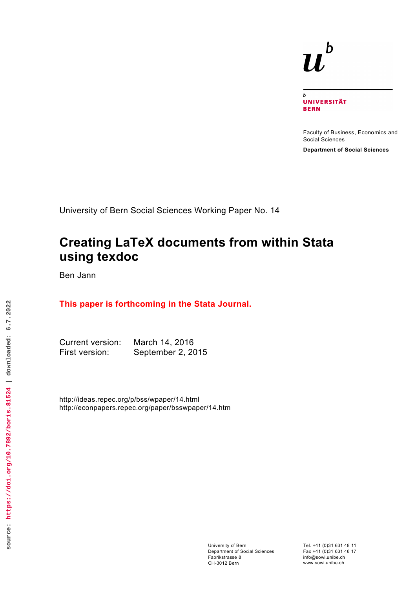# $\bm{b}$  $\boldsymbol{u}$

 $\overline{b}$ **UNIVERSITÄT BERN** 

Faculty of Business, Economics and Social Sciences

**Department of Social Sciences**

University of Bern Social Sciences Working Paper No. 14

# **Creating LaTeX documents from within Stata using texdoc**

Ben Jann

# **This paper is forthcoming in the Stata Journal.**

Current version: March 14, 2016 First version: September 2, 2015

http://ideas.repec.org/p/bss/wpaper/14.html http://econpapers.repec.org/paper/bsswpaper/14.htm

Tel. +41 (0)31 631 48 11 Fax +41 (0)31 631 48 17 info@sowi.unibe.ch www.sowi.unibe.ch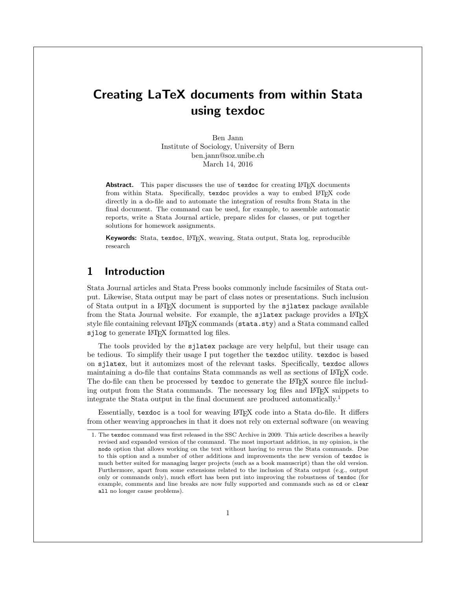# Creating LaTeX documents from within Stata using texdoc

Ben Jann Institute of Sociology, University of Bern [ben.jann@soz.unibe.ch](mailto:ben.jann@soz.unibe.ch) March 14, 2016

Abstract. This paper discusses the use of texdoc for creating LATEX documents from within Stata. Specifically, texdoc provides a way to embed LATEX code directly in a do-file and to automate the integration of results from Stata in the final document. The command can be used, for example, to assemble automatic reports, write a Stata Journal article, prepare slides for classes, or put together solutions for homework assignments.

Keywords: Stata, texdoc, LATEX, weaving, Stata output, Stata log, reproducible research

# 1 Introduction

Stata Journal articles and Stata Press books commonly include facsimiles of Stata output. Likewise, Stata output may be part of class notes or presentations. Such inclusion of Stata output in a LATEX document is supported by the sjlatex package available from the Stata Journal website. For example, the sjlatex package provides a L<sup>AT</sup>EX style file containing relevant LATEX commands (stata.sty) and a Stata command called sjlog to generate LAT<sub>E</sub>X formatted log files.

The tools provided by the sjlatex package are very helpful, but their usage can be tedious. To simplify their usage I put together the texdoc utility. texdoc is based on sjlatex, but it automizes most of the relevant tasks. Specifically, texdoc allows maintaining a do-file that contains Stata commands as well as sections of LATEX code. The do-file can then be processed by texdoc to generate the LAT<sub>EX</sub> source file including output from the Stata commands. The necessary log files and LATEX snippets to integrate the Stata output in the final document are produced automatically.[1](#page-1-0)

Essentially, texdoc is a tool for weaving LATEX code into a Stata do-file. It differs from other weaving approaches in that it does not rely on external software (on weaving

<span id="page-1-0"></span><sup>1.</sup> The texdoc command was first released in the SSC Archive in 2009. This article describes a heavily revised and expanded version of the command. The most important addition, in my opinion, is the nodo option that allows working on the text without having to rerun the Stata commands. Due to this option and a number of other additions and improvements the new version of texdoc is much better suited for managing larger projects (such as a book manuscript) than the old version. Furthermore, apart from some extensions related to the inclusion of Stata output (e.g., output only or commands only), much effort has been put into improving the robustness of texdoc (for example, comments and line breaks are now fully supported and commands such as cd or clear all no longer cause problems).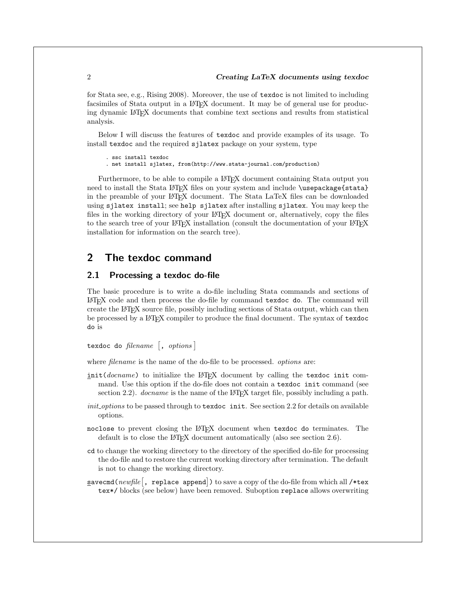for Stata see, e.g., [Rising 2008\)](#page-19-0). Moreover, the use of texdoc is not limited to including facsimiles of Stata output in a LATEX document. It may be of general use for producing dynamic LATEX documents that combine text sections and results from statistical analysis.

Below I will discuss the features of texdoc and provide examples of its usage. To install texdoc and the required sjlatex package on your system, type

```
. ssc install texdoc
```
. net install sjlatex, from(http://www.stata-journal.com/production)

Furthermore, to be able to compile a L<sup>AT</sup>EX document containing Stata output you need to install the Stata LATEX files on your system and include \usepackage{stata} in the preamble of your LATEX document. The Stata LaTeX files can be downloaded using sjlatex install; see help sjlatex after installing sjlatex. You may keep the files in the working directory of your LATEX document or, alternatively, copy the files to the search tree of your LAT<sub>EX</sub> installation (consult the documentation of your LAT<sub>EX</sub> installation for information on the search tree).

# 2 The texdoc command

#### 2.1 Processing a texdoc do-file

The basic procedure is to write a do-file including Stata commands and sections of LATEX code and then process the do-file by command texdoc do. The command will create the LATEX source file, possibly including sections of Stata output, which can then be processed by a LATEX compiler to produce the final document. The syntax of texdoc do is

texdoc do *filename* [, *options*]

where *filename* is the name of the do-file to be processed. *options* are:

- init(*docname*) to initialize the L<sup>AT</sup>EX document by calling the texdoc init command. Use this option if the do-file does not contain a texdoc init command (see section [2.2\)](#page-3-0). *docname* is the name of the L<sup>AT</sup>EX target file, possibly including a path.
- *init options* to be passed through to texdoc init. See section [2.2](#page-3-0) for details on available options.
- noclose to prevent closing the LATEX document when texdoc do terminates. The default is to close the LAT<sub>EX</sub> document automatically (also see section [2.6\)](#page-8-0).
- cd to change the working directory to the directory of the specified do-file for processing the do-file and to restore the current working directory after termination. The default is not to change the working directory.
- **savecmd(***newfile*  $\lceil$ , replace append  $\rceil$ ) to save a copy of the do-file from which all /\*tex tex\*/ blocks (see below) have been removed. Suboption replace allows overwriting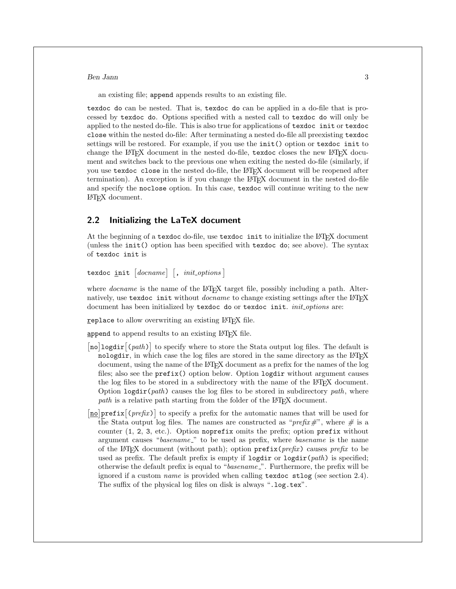an existing file; append appends results to an existing file.

texdoc do can be nested. That is, texdoc do can be applied in a do-file that is processed by texdoc do. Options specified with a nested call to texdoc do will only be applied to the nested do-file. This is also true for applications of texdoc init or texdoc close within the nested do-file: After terminating a nested do-file all preexisting texdoc settings will be restored. For example, if you use the init() option or texdoc init to change the LAT<sub>EX</sub> document in the nested do-file, texdoc closes the new LAT<sub>EX</sub> document and switches back to the previous one when exiting the nested do-file (similarly, if you use texdoc close in the nested do-file, the LAT<sub>EX</sub> document will be reopened after termination). An exception is if you change the LATEX document in the nested do-file and specify the noclose option. In this case, texdoc will continue writing to the new  $LAT$ document.

### <span id="page-3-0"></span>2.2 Initializing the LaTeX document

At the beginning of a texdoc do-file, use texdoc init to initialize the LATEX document (unless the init() option has been specified with texdoc do; see above). The syntax of texdoc init is

 $\{ 1, \text{ } \text{init} \mid \text{} \}$   $[ \text{ } , \text{ } \text{init} \text{ } \text{ } \text{ } \text{i} \text{ } \text{init} \text{ } ]$ 

where *docname* is the name of the LAT<sub>EX</sub> target file, possibly including a path. Alternatively, use texdoc init without *docname* to change existing settings after the L<sup>AT</sup>FX document has been initialized by texdoc do or texdoc init. *init options* are:

replace to allow overwriting an existing LAT<sub>EX</sub> file.

append to append results to an existing LAT<sub>EX</sub> file.

- [no]logdir [(path)] to specify where to store the Stata output log files. The default is nologdir, in which case the log files are stored in the same directory as the LATEX document, using the name of the LATEX document as a prefix for the names of the log files; also see the prefix() option below. Option logdir without argument causes the log files to be stored in a subdirectory with the name of the LAT<sub>EX</sub> document. Option logdir(*path*) causes the log files to be stored in subdirectory *path*, where *path* is a relative path starting from the folder of the LAT<sub>E</sub>X document.
- $\sqrt{\ln 2}$  prefix  $\sqrt{\ln 2}$  to specify a prefix for the automatic names that will be used for the Stata output log files. The names are constructed as "*prefix#*", where *#* is a counter (1, 2, 3, etc.). Option noprefix omits the prefix; option prefix without argument causes "*basename* " to be used as prefix, where *basename* is the name of the LATEX document (without path); option prefix(*prefix*) causes *prefix* to be used as prefix. The default prefix is empty if  $\text{logdir}$  or  $\text{logdir}(path)$  is specified; otherwise the default prefix is equal to "*basename* ". Furthermore, the prefix will be ignored if a custom *name* is provided when calling texdoc stlog (see section [2.4\)](#page-5-0). The suffix of the physical log files on disk is always ".log.tex".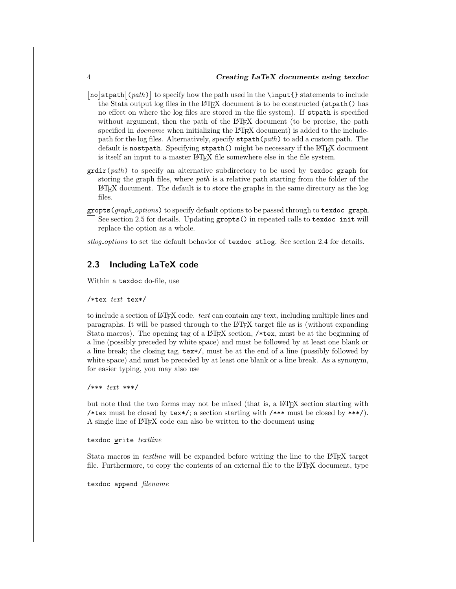- [no]stpath  $(\text{path})$  to specify how the path used in the **\input{}** statements to include the Stata output log files in the LAT<sub>EX</sub> document is to be constructed (strath() has no effect on where the log files are stored in the file system). If stpath is specified without argument, then the path of the LAT<sub>EX</sub> document (to be precise, the path specified in *docname* when initializing the LAT<sub>EX</sub> document) is added to the includepath for the log files. Alternatively, specify stpath(*path*) to add a custom path. The default is nostpath. Specifying stpath() might be necessary if the LAT<sub>EX</sub> document is itself an input to a master LAT<sub>E</sub>X file somewhere else in the file system.
- grdir(*path*) to specify an alternative subdirectory to be used by texdoc graph for storing the graph files, where *path* is a relative path starting from the folder of the LATEX document. The default is to store the graphs in the same directory as the log files.
- gropts(*graph options*) to specify default options to be passed through to texdoc graph. See section [2.5](#page-7-0) for details. Updating gropts() in repeated calls to texdoc init will replace the option as a whole.

*stlog options* to set the default behavior of texdoc stlog. See section [2.4](#page-5-0) for details.

#### 2.3 Including LaTeX code

Within a texdoc do-file, use

#### /\*tex *text* tex\*/

to include a section of LATEX code. *text* can contain any text, including multiple lines and paragraphs. It will be passed through to the LATEX target file as is (without expanding Stata macros). The opening tag of a LAT<sub>EX</sub> section, /\*tex, must be at the beginning of a line (possibly preceded by white space) and must be followed by at least one blank or a line break; the closing tag, tex\*/, must be at the end of a line (possibly followed by white space) and must be preceded by at least one blank or a line break. As a synonym, for easier typing, you may also use

/\*\*\* *text* \*\*\*/

but note that the two forms may not be mixed (that is, a LAT<sub>EX</sub> section starting with /\*tex must be closed by tex\*/; a section starting with /\*\*\* must be closed by \*\*\*/). A single line of LATEX code can also be written to the document using

texdoc write *textline*

Stata macros in *textline* will be expanded before writing the line to the L<sup>AT</sup>EX target file. Furthermore, to copy the contents of an external file to the LAT<sub>EX</sub> document, type

texdoc append *filename*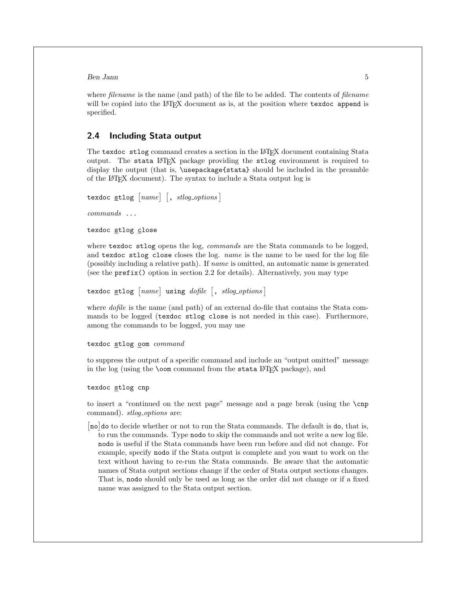where *filename* is the name (and path) of the file to be added. The contents of *filename* will be copied into the LATEX document as is, at the position where texdoc append is specified.

#### <span id="page-5-0"></span>2.4 Including Stata output

The texdoc stlog command creates a section in the LAT<sub>EX</sub> document containing Stata output. The stata LATEX package providing the stlog environment is required to display the output (that is, \usepackage{stata} should be included in the preamble of the LATEX document). The syntax to include a Stata output log is

```
\texttt{texdoc} \texttt{style} \lceil name \rceil \lceil, \textit{stlog-options} \rceil
```
*commands* ...

texdoc stlog close

where texdoc stlog opens the log, *commands* are the Stata commands to be logged, and texdoc stlog close closes the log. *name* is the name to be used for the log file (possibly including a relative path). If *name* is omitted, an automatic name is generated (see the prefix() option in section [2.2](#page-3-0) for details). Alternatively, you may type

texdoc stlog  $[name]$  using *dofile*  $\lceil$ , *stlog\_options*]

where *dofile* is the name (and path) of an external do-file that contains the Stata commands to be logged (texdoc stlog close is not needed in this case). Furthermore, among the commands to be logged, you may use

texdoc stlog oom *command*

to suppress the output of a specific command and include an "output omitted" message in the log (using the **\oom** command from the stata  $\text{LATEX}$  package), and

texdoc stlog cnp

to insert a "continued on the next page" message and a page break (using the \cnp command). *stlog\_options* are:

[no] do to decide whether or not to run the Stata commands. The default is do, that is, to run the commands. Type nodo to skip the commands and not write a new log file. nodo is useful if the Stata commands have been run before and did not change. For example, specify nodo if the Stata output is complete and you want to work on the text without having to re-run the Stata commands. Be aware that the automatic names of Stata output sections change if the order of Stata output sections changes. That is, nodo should only be used as long as the order did not change or if a fixed name was assigned to the Stata output section.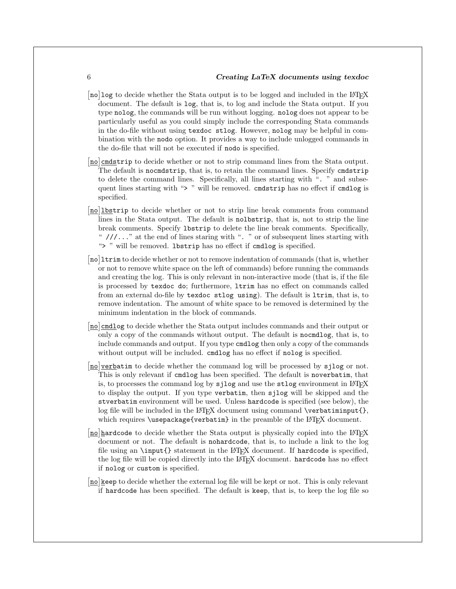- $\left[\texttt{no}\right]$  to decide whether the Stata output is to be logged and included in the LATEX document. The default is log, that is, to log and include the Stata output. If you type nolog, the commands will be run without logging. nolog does not appear to be particularly useful as you could simply include the corresponding Stata commands in the do-file without using texdoc stlog. However, nolog may be helpful in combination with the nodo option. It provides a way to include unlogged commands in the do-file that will not be executed if nodo is specified.
- [no] cmdstrip to decide whether or not to strip command lines from the Stata output. The default is nocmdstrip, that is, to retain the command lines. Specify cmdstrip to delete the command lines. Specifically, all lines starting with ". " and subsequent lines starting with "> " will be removed. cmdstrip has no effect if cmdlog is specified.
- [no] lbstrip to decide whether or not to strip line break comments from command lines in the Stata output. The default is nolbstrip, that is, not to strip the line break comments. Specify lbstrip to delete the line break comments. Specifically, " $\frac{1}{2}$ ..." at the end of lines staring with ". " or of subsequent lines starting with "> " will be removed. 1bstrip has no effect if cmdlog is specified.
- [no] ltrim to decide whether or not to remove indentation of commands (that is, whether or not to remove white space on the left of commands) before running the commands and creating the log. This is only relevant in non-interactive mode (that is, if the file is processed by texdoc do; furthermore, ltrim has no effect on commands called from an external do-file by texdoc stlog using). The default is ltrim, that is, to remove indentation. The amount of white space to be removed is determined by the minimum indentation in the block of commands.
- [no] cmdlog to decide whether the Stata output includes commands and their output or only a copy of the commands without output. The default is nocmdlog, that is, to include commands and output. If you type cmdlog then only a copy of the commands without output will be included. cmdlog has no effect if nolog is specified.
- [no] verbatim to decide whether the command log will be processed by sjlog or not. This is only relevant if cmdlog has been specified. The default is noverbatim, that is, to processes the command log by  $s$ jlog and use the  $stlog$  environment in L<sup>AT</sup>FX to display the output. If you type verbatim, then sjlog will be skipped and the stverbatim environment will be used. Unless hardcode is specified (see below), the log file will be included in the LAT<sub>EX</sub> document using command  $\verb|\verbatiminput{},$ which requires  $\text{vsepackage}$  (verbatim) in the preamble of the LAT<sub>EX</sub> document.
- [no]hardcode to decide whether the Stata output is physically copied into the LATEX document or not. The default is nohardcode, that is, to include a link to the log file using an  $\in$   $\{$  statement in the  $\Delta T$ <sub>EX</sub> document. If hardcode is specified, the log file will be copied directly into the L<sup>AT</sup>EX document. hardcode has no effect if nolog or custom is specified.
- [no] keep to decide whether the external log file will be kept or not. This is only relevant if hardcode has been specified. The default is keep, that is, to keep the log file so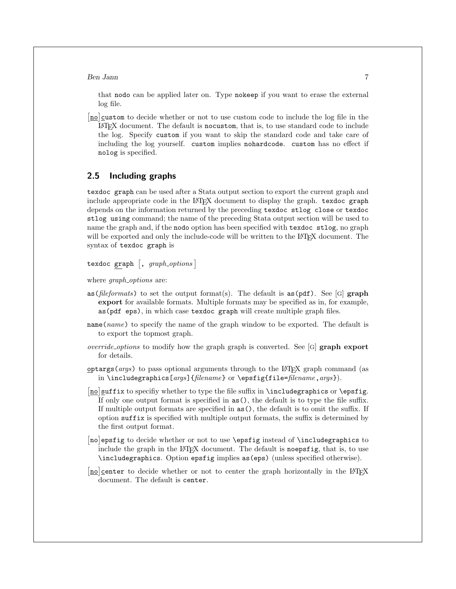that nodo can be applied later on. Type nokeep if you want to erase the external log file.

[no] custom to decide whether or not to use custom code to include the log file in the LATEX document. The default is nocustom, that is, to use standard code to include the log. Specify custom if you want to skip the standard code and take care of including the log yourself. custom implies nohardcode. custom has no effect if nolog is specified.

### <span id="page-7-0"></span>2.5 Including graphs

texdoc graph can be used after a Stata output section to export the current graph and include appropriate code in the LATEX document to display the graph. texdoc graph depends on the information returned by the preceding texdoc stlog close or texdoc stlog using command; the name of the preceding Stata output section will be used to name the graph and, if the nodo option has been specified with texdoc stlog, no graph will be exported and only the include-code will be written to the L<sup>AT</sup>EX document. The syntax of texdoc graph is

texdoc graph  $[$ ,  $graph\_options$   $]$ 

where *graph options* are:

- as ( $\text{fileformats}$ ) to set the output format(s). The default is as ( $\text{pdf}$ ). See [G] graph export for available formats. Multiple formats may be specified as in, for example, as(pdf eps), in which case texdoc graph will create multiple graph files.
- name(*name*) to specify the name of the graph window to be exported. The default is to export the topmost graph.
- *override\_options* to modify how the graph graph is converted. See [G] **graph export** for details.
- $optargs(args)$  to pass optional arguments through to the L<sup>A</sup>T<sub>EX</sub> graph command (as in \includegraphics[*args*]{*filename*} or \epsfig{file=*filename*,*args*}).
- [no] suffix to specifiy whether to type the file suffix in \includegraphics or \epsfig. If only one output format is specified in  $as()$ , the default is to type the file suffix. If multiple output formats are specified in  $as($ ), the default is to omit the suffix. If option suffix is specified with multiple output formats, the suffix is determined by the first output format.
- [no]epsfig to decide whether or not to use \epsfig instead of \includegraphics to include the graph in the LATEX document. The default is noepsfig, that is, to use \includegraphics. Option epsfig implies as(eps) (unless specified otherwise).
- [no]center to decide whether or not to center the graph horizontally in the LATEX document. The default is center.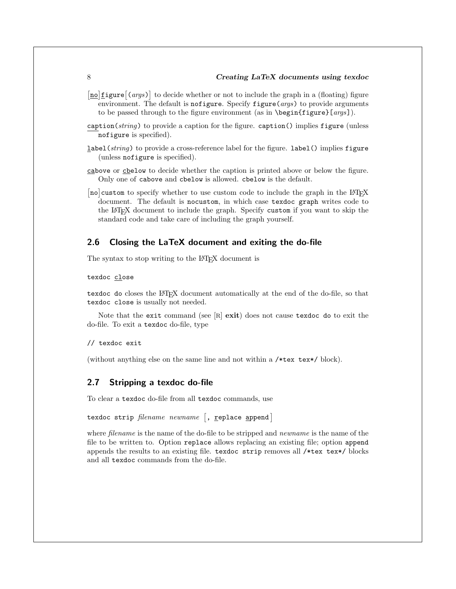[no] figure  $\left[\frac{1}{10}\right]$  (*args*) to decide whether or not to include the graph in a (floating) figure environment. The default is **nofigure**. Specify **figure**(*args*) to provide arguments to be passed through to the figure environment (as in \begin{figure}[*args*]).

- caption(*string*) to provide a caption for the figure. caption() implies figure (unless nofigure is specified).
- label(*string*) to provide a cross-reference label for the figure. label() implies figure (unless nofigure is specified).
- cabove or cbelow to decide whether the caption is printed above or below the figure. Only one of cabove and cbelow is allowed. cbelow is the default.
- [no] custom to specify whether to use custom code to include the graph in the LAT<sub>E</sub>X document. The default is nocustom, in which case texdoc graph writes code to the LATEX document to include the graph. Specify custom if you want to skip the standard code and take care of including the graph yourself.

### <span id="page-8-0"></span>2.6 Closing the LaTeX document and exiting the do-file

The syntax to stop writing to the L<sup>AT</sup>EX document is

#### texdoc close

texdoc do closes the LATEX document automatically at the end of the do-file, so that texdoc close is usually not needed.

Note that the exit command (see  $[R]$  exit) does not cause texdoc do to exit the do-file. To exit a texdoc do-file, type

#### // texdoc exit

(without anything else on the same line and not within a /\*tex tex\*/ block).

### 2.7 Stripping a texdoc do-file

To clear a texdoc do-file from all texdoc commands, use

```
texdoc strip filename newname [, <u>r</u>eplace append]
```
where *filename* is the name of the do-file to be stripped and *newname* is the name of the file to be written to. Option replace allows replacing an existing file; option append appends the results to an existing file. texdoc strip removes all /\*tex tex\*/ blocks and all texdoc commands from the do-file.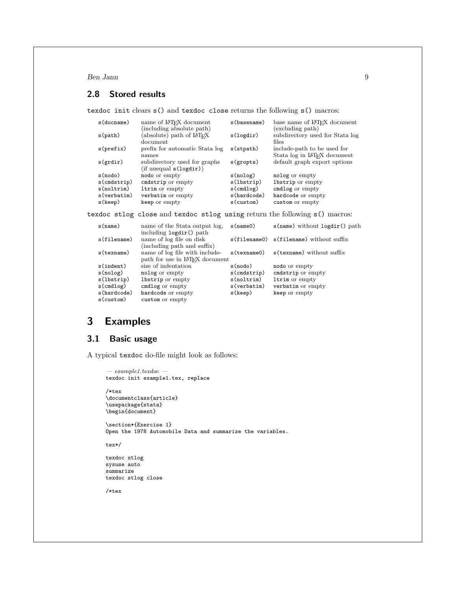# 2.8 Stored results

texdoc init clears s() and texdoc close returns the following s() macros:

| $s$ (docname)  | name of LAT <sub>EX</sub> document<br>(including absolute path) | s (basename) | base name of LAT <sub>F</sub> X document<br>(excluding path)            |
|----------------|-----------------------------------------------------------------|--------------|-------------------------------------------------------------------------|
| s(path)        | (absolute) path of LAT <sub>F</sub> X<br>document               | s(logdir)    | subdirectory used for Stata log<br>files                                |
| s(prefix)      | prefix for automatic Stata log<br>names                         | s(stpath)    | include-path to be used for<br>Stata log in LAT <sub>F</sub> X document |
| s(grdir)       | subdirectory used for graphs<br>(if unequal s(logdir))          | s(gropts)    | default graph export options                                            |
| s(nodo)        | nodo or empty                                                   | s(nolog)     | nolog or empty                                                          |
| $s$ (cmdstrip) | cmdstrip or empty                                               | s(1bstrip)   | <b>lbstrip</b> or empty                                                 |
| s(noltrim)     | ltrim or empty                                                  | $s$ (cmdlog) | cmdlog or empty                                                         |
| s(verbatim)    | verbatim or empty                                               | s(hardcode)  | hardcode or empty                                                       |
| s(keep)        | keep or empty                                                   | s(custom)    | custom or empty                                                         |

texdoc stlog close and texdoc stlog using return the following s() macros:

| s(name)        | name of the Stata output log.                           | s(name()           | $s$ (name) without $logdir()$ path      |
|----------------|---------------------------------------------------------|--------------------|-----------------------------------------|
|                | including logdir() path                                 |                    |                                         |
| $s$ (filename) | name of log file on disk<br>(including path and suffix) |                    | s(filename0) s(filename) without suffix |
| s(texname)     | name of log file with include-                          | $s$ (texname $0$ ) | s (texname) without suffix              |
|                | path for use in LAT <sub>F</sub> X document             |                    |                                         |
| s(indent)      | size of indentation                                     | s(nodo)            | nodo or empty                           |
| s(nolog)       | nolog or empty                                          | $s$ (cmdstrip)     | cmdstrip or empty                       |
| s(1bstrip)     | <b>lbstrip</b> or empty                                 | s(noltrim)         | ltrim or empty                          |
| $s$ (cmdlog)   | cmdlog or empty                                         | s(verbatim)        | verbatim or empty                       |
| s(hardcode)    | hardcode or empty                                       | s(keep)            | keep or empty                           |
| s(custom)      | custom or empty                                         |                    |                                         |

# 3 Examples

## <span id="page-9-0"></span>3.1 Basic usage

A typical texdoc do-file might look as follows:

```
— example1.texdoc —
texdoc init example1.tex, replace
/*tex
\documentclass{article}
\usepackage{stata}
\begin{document}
\section*{Exercise 1}
Open the 1978 Automobile Data and summarize the variables.
tex*/
texdoc stlog
sysuse auto
summarize
texdoc stlog close
/*tex
```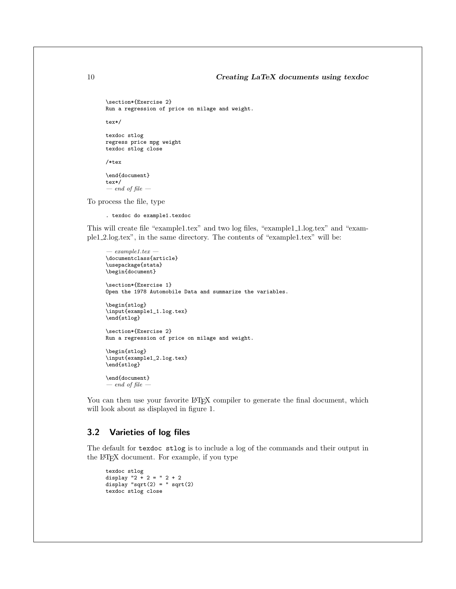```
\section*{Exercise 2}
Run a regression of price on milage and weight.
```
tex\*/

texdoc stlog regress price mpg weight texdoc stlog close

/\*tex

\end{document} tex\*/ *— end of file —*

To process the file, type

. texdoc do example1.texdoc

This will create file "example1.tex" and two log files, "example1 1.log.tex" and "example1 2.log.tex", in the same directory. The contents of "example1.tex" will be:

```
— example1.tex —
\documentclass{article}
\usepackage{stata}
\begin{document}
\section*{Exercise 1}
Open the 1978 Automobile Data and summarize the variables.
\begin{stlog}
\input{example1_1.log.tex}
\end{stlog}
\section*{Exercise 2}
Run a regression of price on milage and weight.
\begin{stlog}
\input{example1_2.log.tex}
\end{stlog}
\end{document}
```
*— end of file —*

You can then use your favorite LAT<sub>EX</sub> compiler to generate the final document, which will look about as displayed in figure [1.](#page-9-0)

#### 3.2 Varieties of log files

The default for texdoc stlog is to include a log of the commands and their output in the LATEX document. For example, if you type

```
texdoc stlog
display "2 + 2 = " 2 + 2
display "sqrt(2) = " sqrt(2)
texdoc stlog close
```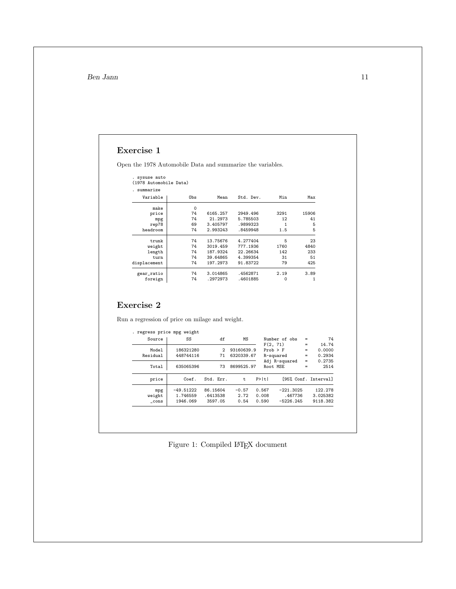# Exercise 1

Open the 1978 Automobile Data and summarize the variables.

| (1978 Automobile Data) |          |           |      |       |
|------------------------|----------|-----------|------|-------|
|                        |          |           |      |       |
| Obs                    | Mean     | Std. Dev. | Min  | Max   |
| $\Omega$               |          |           |      |       |
| 74                     | 6165.257 | 2949.496  | 3291 | 15906 |
| 74                     | 21.2973  | 5.785503  | 12   | 41    |
| 69                     | 3.405797 | .9899323  |      | 5     |
|                        |          |           |      |       |

| $H = T$      | $\mathbf{v}$ |          |          |      |       |
|--------------|--------------|----------|----------|------|-------|
| price        | 74           | 6165.257 | 2949.496 | 3291 | 15906 |
| mpg          | 74           | 21.2973  | 5.785503 | 12   | 41    |
| rep78        | 69           | 3.405797 | .9899323 | 1    | 5     |
| headroom     | 74           | 2.993243 | .8459948 | 1.5  | 5     |
| trunk        | 74           | 13.75676 | 4.277404 | 5    | 23    |
| weight       | 74           | 3019.459 | 777.1936 | 1760 | 4840  |
| length       | 74           | 187.9324 | 22.26634 | 142  | 233   |
| turn         | 74           | 39.64865 | 4.399354 | 31   | 51    |
| displacement | 74           | 197.2973 | 91.83722 | 79   | 425   |
| gear_ratio   | 74           | 3.014865 | .4562871 | 2.19 | 3.89  |
| foreign      | 74           | .2972973 | .4601885 | 0    | 1     |
|              |              |          |          |      |       |

## Exercise 2

Run a regression of price on milage and weight.

| 74                   | $=$ | Number of obs |       | МS         | df        | SS          | Source         |
|----------------------|-----|---------------|-------|------------|-----------|-------------|----------------|
| 14.74                | $=$ | F(2, 71)      |       |            |           |             |                |
| 0.0000               | $=$ | $Prob$ > $F$  |       | 93160639.9 | 2         | 186321280   | Model          |
| 0.2934               | $=$ | R-squared     |       | 6320339.67 | 71        | 448744116   | Residual       |
| 0.2735               | $=$ | Adj R-squared |       |            |           |             |                |
| 2514                 | $=$ | Root MSE      |       | 8699525.97 | 73        | 635065396   | Total          |
| [95% Conf. Interval] |     |               | P>  t | t.         | Std. Err. | Coef.       | price          |
| 122.278              |     | $-221.3025$   | 0.567 | $-0.57$    | 86.15604  | $-49.51222$ | mpg            |
| 3.025382             |     | .467736       | 0.008 | 2.72       | .6413538  | 1.746559    | weight         |
| 9118.382             |     | $-5226.245$   | 0.590 | 0.54       | 3597.05   | 1946.069    | $_{\rm -cons}$ |

Figure 1: Compiled IATEX document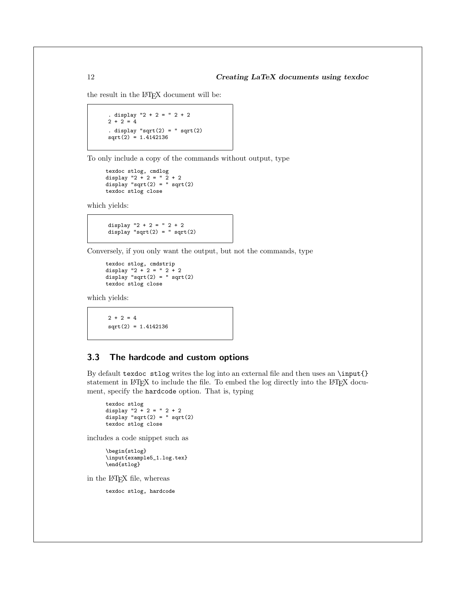the result in the L<sup>AT</sup>FX document will be:

```
. display "2 + 2 = " 2 + 2
2 + 2 = 4. display "sqrt(2) = " sqrt(2)sqrt(2) = 1.4142136
```
To only include a copy of the commands without output, type

```
texdoc stlog, cmdlog
display "2 + 2 = " 2 + 2
display "sqrt(2) = " sqrt(2)texdoc stlog close
```
which yields:

display  $"2 + 2 = " 2 + 2$ display " $sqrt(2) =$  " sqrt $(2)$ 

Conversely, if you only want the output, but not the commands, type

```
texdoc stlog, cmdstrip
display "2 + 2 = "2 + 2"display "sqrt(2) =" sqrt(2)texdoc stlog close
```
which yields:

 $2 + 2 = 4$ sqrt(2) = 1.4142136

#### 3.3 The hardcode and custom options

By default texdoc stlog writes the log into an external file and then uses an \input{} statement in LAT<sub>EX</sub> to include the file. To embed the log directly into the LAT<sub>EX</sub> document, specify the hardcode option. That is, typing

```
texdoc stlog
display "2 + 2 = " 2 + 2
display "sqrt(2) = " sqrt(2)
texdoc stlog close
```
includes a code snippet such as

\begin{stlog} \input{example5\_1.log.tex} \end{stlog}

in the LATEX file, whereas

texdoc stlog, hardcode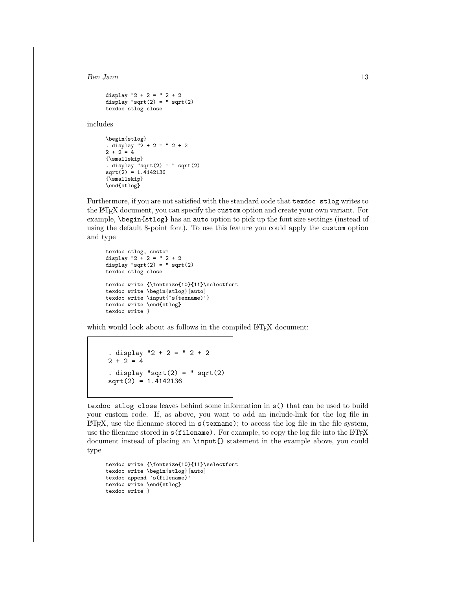```
display "2 + 2 = " 2 + 2
display "sqrt(2) =" sqrt(2)texdoc stlog close
```
includes

```
\begin{stlog}
. display "2 + 2 = "2 + 22 + 2 = 4{\smallskip}
. display "sqrt(2) = "sqrt(2)sqrt(2) = 1.4142136
{\smallskip}
\end{stlog}
```
Furthermore, if you are not satisfied with the standard code that texdoc stlog writes to the LATEX document, you can specify the custom option and create your own variant. For example, \begin{stlog} has an auto option to pick up the font size settings (instead of using the default 8-point font). To use this feature you could apply the custom option and type

```
texdoc stlog, custom
display "2 + 2 = "2 + 2display "sqrt(2) =" sqrt(2)texdoc stlog close
texdoc write {\fontsize{10}{11}\selectfont
texdoc write \begin{stlog}[auto]
texdoc write \input{`s(texname)'}
texdoc write \end{stlog}
texdoc write }
```
which would look about as follows in the compiled LATEX document:

```
. display "2 + 2 = " 2 + 22 + 2 = 4. display "sqrt(2) = " sqrt(2)sqrt(2) = 1.4142136
```
texdoc stlog close leaves behind some information in s() that can be used to build your custom code. If, as above, you want to add an include-link for the log file in  $\Delta E$ T<sub>E</sub>X, use the filename stored in  $s$  (texname); to access the log file in the file system, use the filename stored in  $s(f$ ilename). For example, to copy the log file into the L<sup>AT</sup>FX document instead of placing an \input{} statement in the example above, you could type

```
texdoc write {\fontsize{10}{11}\selectfont
texdoc write \begin{stlog}[auto]
texdoc append `s(filename)'
texdoc write \end{stlog}
texdoc write }
```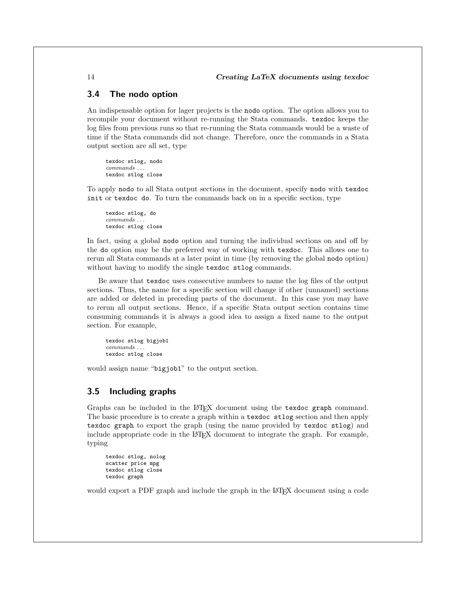#### 3.4 The nodo option

An indispensable option for lager projects is the nodo option. The option allows you to recompile your document without re-running the Stata commands. texdoc keeps the log files from previous runs so that re-running the Stata commands would be a waste of time if the Stata commands did not change. Therefore, once the commands in a Stata output section are all set, type

texdoc stlog, nodo *commands . . .* texdoc stlog close

To apply nodo to all Stata output sections in the document, specify nodo with texdoc init or texdoc do. To turn the commands back on in a specific section, type

texdoc stlog, do *commands . . .* texdoc stlog close

In fact, using a global nodo option and turning the individual sections on and off by the do option may be the preferred way of working with texdoc. This allows one to rerun all Stata commands at a later point in time (by removing the global nodo option) without having to modify the single texdoc stlog commands.

Be aware that texdoc uses consecutive numbers to name the log files of the output sections. Thus, the name for a specific section will change if other (unnamed) sections are added or deleted in preceding parts of the document. In this case you may have to rerun all output sections. Hence, if a specific Stata output section contains time consuming commands it is always a good idea to assign a fixed name to the output section. For example,

texdoc stlog bigjob1 *commands . . .* texdoc stlog close

would assign name "bigjob1" to the output section.

#### 3.5 Including graphs

Graphs can be included in the LATEX document using the texdoc graph command. The basic procedure is to create a graph within a texdoc stlog section and then apply texdoc graph to export the graph (using the name provided by texdoc stlog) and include appropriate code in the LATEX document to integrate the graph. For example, typing

```
texdoc stlog, nolog
scatter price mpg
texdoc stlog close
texdoc graph
```
would export a PDF graph and include the graph in the L<sup>AT</sup>EX document using a code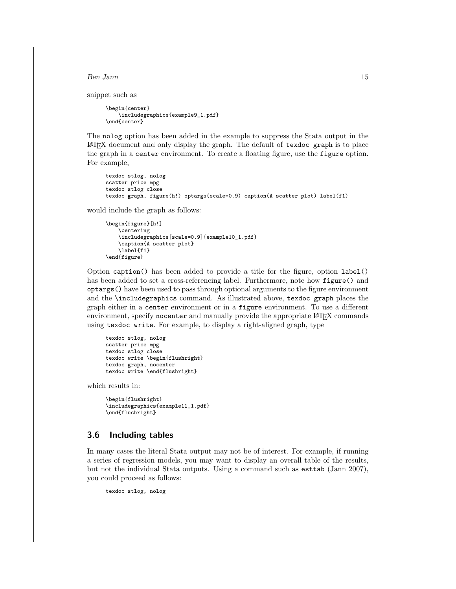snippet such as

```
\begin{center}
    \includegraphics{example9_1.pdf}
\end{center}
```
The nolog option has been added in the example to suppress the Stata output in the  $\Delta E$ T<sub>EX</sub> document and only display the graph. The default of texdoc graph is to place the graph in a center environment. To create a floating figure, use the figure option. For example,

```
texdoc stlog, nolog
scatter price mpg
texdoc stlog close
texdoc graph, figure(h!) optargs(scale=0.9) caption(A scatter plot) label(f1)
```
would include the graph as follows:

```
\begin{figure}[h!]
    \centering
    \includegraphics[scale=0.9]{example10_1.pdf}
    \caption{A scatter plot}
    \label{f1}
\end{figure}
```
Option caption() has been added to provide a title for the figure, option label() has been added to set a cross-referencing label. Furthermore, note how **figure**() and optargs() have been used to pass through optional arguments to the figure environment and the \includegraphics command. As illustrated above, texdoc graph places the graph either in a center environment or in a figure environment. To use a different environment, specify nocenter and manually provide the appropriate LAT<sub>EX</sub> commands using texdoc write. For example, to display a right-aligned graph, type

```
texdoc stlog, nolog
scatter price mpg
texdoc stlog close
texdoc write \begin{flushright}
texdoc graph, nocenter
texdoc write \end{flushright}
```
which results in:

```
\begin{flushright}
\includegraphics{example11_1.pdf}
\end{flushright}
```
#### <span id="page-15-0"></span>3.6 Including tables

In many cases the literal Stata output may not be of interest. For example, if running a series of regression models, you may want to display an overall table of the results, but not the individual Stata outputs. Using a command such as esttab [\(Jann 2007\)](#page-19-1), you could proceed as follows:

texdoc stlog, nolog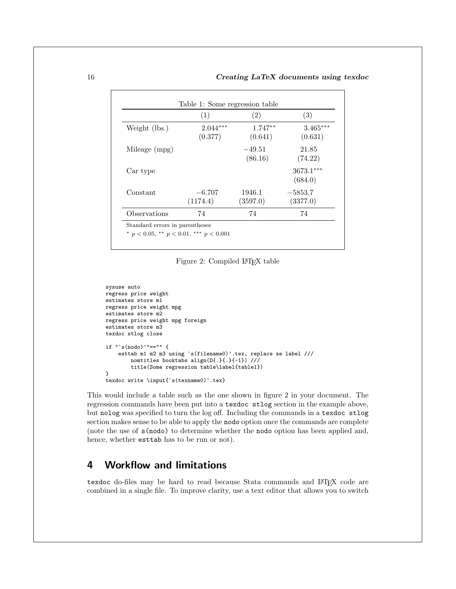|               | (1)                   | (2)                  | (3)                    |
|---------------|-----------------------|----------------------|------------------------|
| Weight (lbs.) | $2.044***$<br>(0.377) | $1.747**$<br>(0.641) | $3.465***$<br>(0.631)  |
| Mileage (mpg) |                       | $-49.51$<br>(86.16)  | 21.85<br>(74.22)       |
| Car type      |                       |                      | $3673.1***$<br>(684.0) |
| Constant      | $-6.707$<br>(1174.4)  | 1946.1<br>(3597.0)   | $-5853.7$<br>(3377.0)  |
| Observations  | 74                    | 74                   | 74                     |

Figure 2: Compiled LATEX table

```
sysuse auto
regress price weight
estimates store m1
regress price weight mpg
estimates store m2
regress price weight mpg foreign
estimates store m3
texdoc stlog close
if "'s(nodo)'"=="" {
    esttab m1 m2 m3 using `s(filename0)'.tex, replace se label ///
        nomtitles booktabs align(D{.}{.}{-1}) ///
        title(Some regression table\label{table1})
}
texdoc write \input{`s(texname0)'.tex}
```
This would include a table such as the one shown in figure [2](#page-15-0) in your document. The regression commands have been put into a texdoc stlog section in the example above, but nolog was specified to turn the log off. Including the commands in a texdoc stlog section makes sense to be able to apply the nodo option once the commands are complete (note the use of s(nodo) to determine whether the nodo option has been applied and, hence, whether esttab has to be run or not).

# 4 Workflow and limitations

texdoc do-files may be hard to read because Stata commands and LATEX code are combined in a single file. To improve clarity, use a text editor that allows you to switch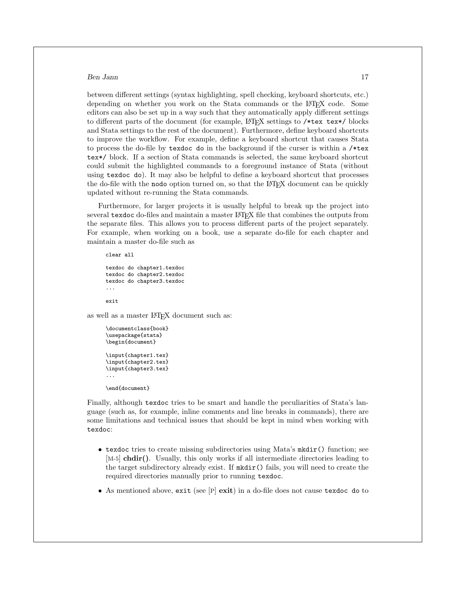between different settings (syntax highlighting, spell checking, keyboard shortcuts, etc.) depending on whether you work on the Stata commands or the L<sup>AT</sup>EX code. Some editors can also be set up in a way such that they automatically apply different settings to different parts of the document (for example, LAT<sub>EX</sub> settings to  $/*$ tex tex\*/ blocks and Stata settings to the rest of the document). Furthermore, define keyboard shortcuts to improve the workflow. For example, define a keyboard shortcut that causes Stata to process the do-file by texdoc do in the background if the curser is within a  $/*$ tex tex\*/ block. If a section of Stata commands is selected, the same keyboard shortcut could submit the highlighted commands to a foreground instance of Stata (without using texdoc do). It may also be helpful to define a keyboard shortcut that processes the do-file with the nodo option turned on, so that the LAT<sub>EX</sub> document can be quickly updated without re-running the Stata commands.

Furthermore, for larger projects it is usually helpful to break up the project into several texdoc do-files and maintain a master LAT<sub>EX</sub> file that combines the outputs from the separate files. This allows you to process different parts of the project separately. For example, when working on a book, use a separate do-file for each chapter and maintain a master do-file such as

```
clear all
```

```
texdoc do chapter1.texdoc
texdoc do chapter2.texdoc
texdoc do chapter3.texdoc
...
```
exit

as well as a master LAT<sub>EX</sub> document such as:

```
\documentclass{book}
\usepackage{stata}
\begin{document}
\input{chapter1.tex}
\input{chapter2.tex}
\input{chapter3.tex}
...
\end{document}
```
Finally, although texdoc tries to be smart and handle the peculiarities of Stata's language (such as, for example, inline comments and line breaks in commands), there are some limitations and technical issues that should be kept in mind when working with texdoc:

- texdoc tries to create missing subdirectories using Mata's mkdir() function; see [M-5] **chdir()**. Usually, this only works if all intermediate directories leading to the target subdirectory already exist. If mkdir() fails, you will need to create the required directories manually prior to running texdoc.
- As mentioned above, exit (see [P] exit) in a do-file does not cause texdoc do to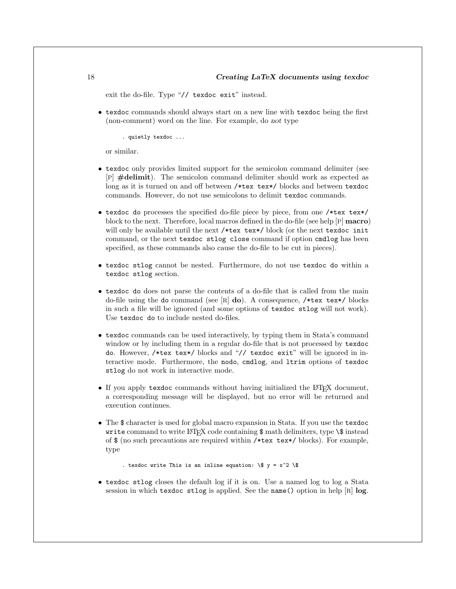exit the do-file. Type "// texdoc exit" instead.

*•* texdoc commands should always start on a new line with texdoc being the first (non-comment) word on the line. For example, do *not* type

. quietly texdoc ...

or similar.

- texdoc only provides limited support for the semicolon command delimiter (see [P] #delimit). The semicolon command delimiter should work as expected as long as it is turned on and off between /\*tex tex\*/ blocks and between texdoc commands. However, do not use semicolons to delimit texdoc commands.
- texdoc do processes the specified do-file piece by piece, from one /\*tex tex\*/ block to the next. Therefore, local macros defined in the do-file (see help  $[P]$  macro) will only be available until the next /\*tex tex\*/ block (or the next texdoc init command, or the next texdoc stlog close command if option cmdlog has been specified, as these commands also cause the do-file to be cut in pieces).
- *•* texdoc stlog cannot be nested. Furthermore, do not use texdoc do within a texdoc stlog section.
- texdoc do does not parse the contents of a do-file that is called from the main do-file using the do command (see  $[R]$  do). A consequence, /\*tex tex\*/ blocks in such a file will be ignored (and some options of texdoc stlog will not work). Use texdoc do to include nested do-files.
- texdoc commands can be used interactively, by typing them in Stata's command window or by including them in a regular do-file that is not processed by texdoc do. However, /\*tex tex\*/ blocks and "// texdoc exit" will be ignored in interactive mode. Furthermore, the nodo, cmdlog, and ltrim options of texdoc stlog do not work in interactive mode.
- If you apply texdoc commands without having initialized the L<sup>AT</sup>EX document, a corresponding message will be displayed, but no error will be returned and execution continues.
- The \$ character is used for global macro expansion in Stata. If you use the texdoc write command to write  $\angle$ F<sub>F</sub>X code containing  $\frac{1}{2}$  math delimiters, type  $\frac{1}{2}$  instead of \$ (no such precautions are required within /\*tex tex\*/ blocks). For example, type

. texdoc write This is an inline equation:  $\sqrt{\$}$  y = x<sup>^2</sup>  $\sqrt{\$}$ 

• texdoc stlog closes the default log if it is on. Use a named log to log a Stata session in which texdoc stlog is applied. See the name () option in help  $[R]$  log.